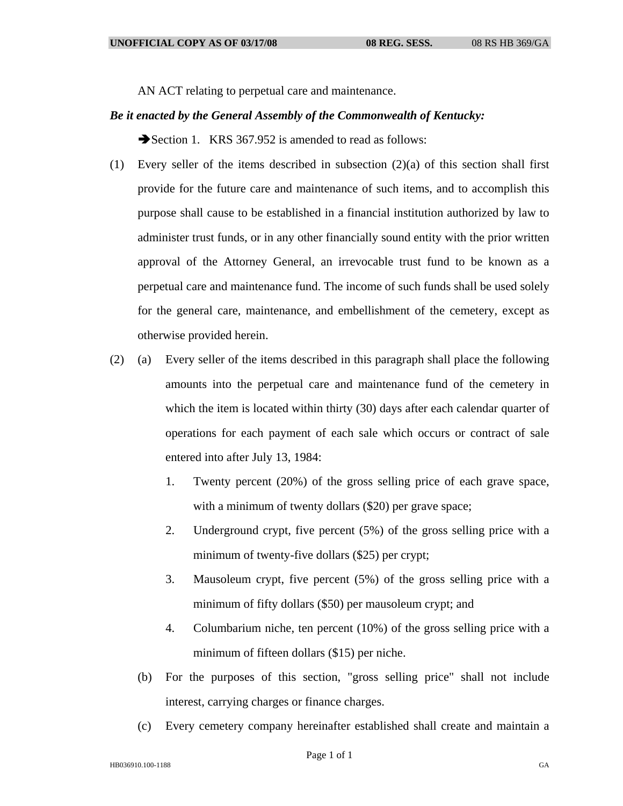AN ACT relating to perpetual care and maintenance.

## *Be it enacted by the General Assembly of the Commonwealth of Kentucky:*

Section 1. KRS 367.952 is amended to read as follows:

- (1) Every seller of the items described in subsection (2)(a) of this section shall first provide for the future care and maintenance of such items, and to accomplish this purpose shall cause to be established in a financial institution authorized by law to administer trust funds, or in any other financially sound entity with the prior written approval of the Attorney General, an irrevocable trust fund to be known as a perpetual care and maintenance fund. The income of such funds shall be used solely for the general care, maintenance, and embellishment of the cemetery, except as otherwise provided herein.
- (2) (a) Every seller of the items described in this paragraph shall place the following amounts into the perpetual care and maintenance fund of the cemetery in which the item is located within thirty (30) days after each calendar quarter of operations for each payment of each sale which occurs or contract of sale entered into after July 13, 1984:
	- 1. Twenty percent (20%) of the gross selling price of each grave space, with a minimum of twenty dollars (\$20) per grave space;
	- 2. Underground crypt, five percent (5%) of the gross selling price with a minimum of twenty-five dollars (\$25) per crypt;
	- 3. Mausoleum crypt, five percent (5%) of the gross selling price with a minimum of fifty dollars (\$50) per mausoleum crypt; and
	- 4. Columbarium niche, ten percent (10%) of the gross selling price with a minimum of fifteen dollars (\$15) per niche.
	- (b) For the purposes of this section, "gross selling price" shall not include interest, carrying charges or finance charges.
	- (c) Every cemetery company hereinafter established shall create and maintain a